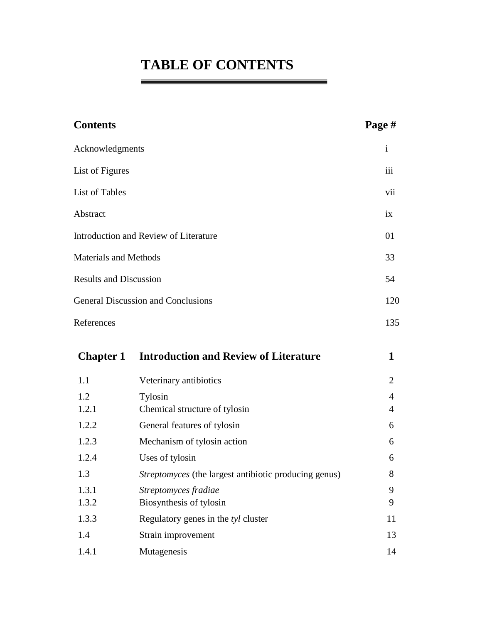## **TABLE OF CONTENTS**

| <b>Contents</b>               |                                                       | Page #         |  |
|-------------------------------|-------------------------------------------------------|----------------|--|
| Acknowledgments               |                                                       | $\mathbf{i}$   |  |
| List of Figures               |                                                       | iii            |  |
| <b>List of Tables</b>         |                                                       |                |  |
| Abstract                      |                                                       |                |  |
|                               | <b>Introduction and Review of Literature</b>          | 01             |  |
|                               | <b>Materials and Methods</b>                          |                |  |
| <b>Results and Discussion</b> |                                                       | 54             |  |
|                               | <b>General Discussion and Conclusions</b>             |                |  |
| References                    |                                                       | 135            |  |
| <b>Chapter 1</b>              | <b>Introduction and Review of Literature</b>          | 1              |  |
| 1.1                           | Veterinary antibiotics                                | $\overline{2}$ |  |
| 1.2                           | Tylosin                                               | $\overline{4}$ |  |
| 1.2.1                         | Chemical structure of tylosin                         | $\overline{4}$ |  |
| 1.2.2                         | General features of tylosin                           | 6              |  |
| 1.2.3                         | Mechanism of tylosin action                           | 6              |  |
| 1.2.4                         | Uses of tylosin                                       | 6              |  |
| 1.3                           | Streptomyces (the largest antibiotic producing genus) | 8              |  |
| 1.3.1<br>1.3.2                | Streptomyces fradiae<br>Biosynthesis of tylosin       | 9<br>9         |  |
| 1.3.3                         | Regulatory genes in the tyl cluster                   | 11             |  |
| 1.4                           | Strain improvement                                    | 13             |  |
| 1.4.1                         | Mutagenesis                                           | 14             |  |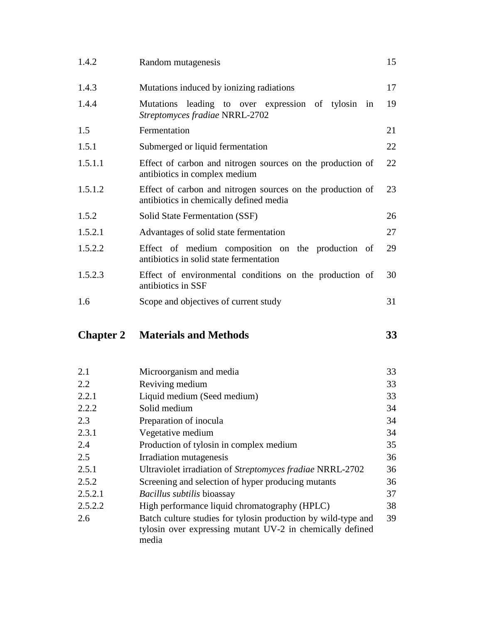| 1.4.2   | Random mutagenesis                                                                                    | 15 |
|---------|-------------------------------------------------------------------------------------------------------|----|
| 1.4.3   | Mutations induced by ionizing radiations                                                              | 17 |
| 1.4.4   | Mutations leading to over expression of tylosin<br>in<br>Streptomyces fradiae NRRL-2702               | 19 |
| 1.5     | Fermentation                                                                                          | 21 |
| 1.5.1   | Submerged or liquid fermentation                                                                      | 22 |
| 1.5.1.1 | Effect of carbon and nitrogen sources on the production of<br>antibiotics in complex medium           | 22 |
| 1.5.1.2 | Effect of carbon and nitrogen sources on the production of<br>antibiotics in chemically defined media | 23 |
| 1.5.2   | Solid State Fermentation (SSF)                                                                        | 26 |
| 1.5.2.1 | Advantages of solid state fermentation                                                                | 27 |
| 1.5.2.2 | Effect of medium composition on the production of<br>antibiotics in solid state fermentation          | 29 |
| 1.5.2.3 | Effect of environmental conditions on the production of<br>antibiotics in SSF                         | 30 |
| 1.6     | Scope and objectives of current study                                                                 | 31 |

## **Chapter 2 Materials and Methods 33**

| 2.1     | Microorganism and media                                                                                                             | 33 |
|---------|-------------------------------------------------------------------------------------------------------------------------------------|----|
| 2.2     | Reviving medium                                                                                                                     | 33 |
| 2.2.1   | Liquid medium (Seed medium)                                                                                                         | 33 |
| 2.2.2   | Solid medium                                                                                                                        | 34 |
| 2.3     | Preparation of inocula                                                                                                              | 34 |
| 2.3.1   | Vegetative medium                                                                                                                   | 34 |
| 2.4     | Production of tylosin in complex medium                                                                                             | 35 |
| 2.5     | Irradiation mutagenesis                                                                                                             | 36 |
| 2.5.1   | Ultraviolet irradiation of <i>Streptomyces fradiae</i> NRRL-2702                                                                    | 36 |
| 2.5.2   | Screening and selection of hyper producing mutants                                                                                  | 36 |
| 2.5.2.1 | <i>Bacillus subtilis</i> bioassay                                                                                                   | 37 |
| 2.5.2.2 | High performance liquid chromatography (HPLC)                                                                                       | 38 |
| 2.6     | Batch culture studies for tylosin production by wild-type and<br>tylosin over expressing mutant UV-2 in chemically defined<br>media | 39 |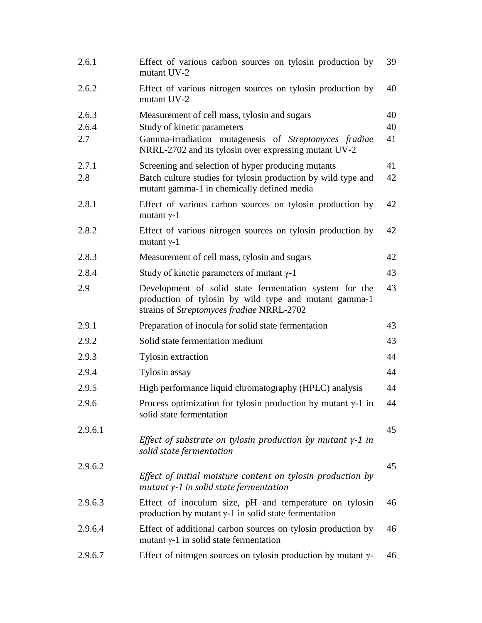| 2.6.1   | Effect of various carbon sources on tylosin production by<br>mutant UV-2                                                                                     | 39 |
|---------|--------------------------------------------------------------------------------------------------------------------------------------------------------------|----|
| 2.6.2   | Effect of various nitrogen sources on tylosin production by<br>mutant UV-2                                                                                   | 40 |
| 2.6.3   | Measurement of cell mass, tylosin and sugars                                                                                                                 | 40 |
| 2.6.4   | Study of kinetic parameters                                                                                                                                  | 40 |
| 2.7     | Gamma-irradiation mutagenesis of Streptomyces fradiae<br>NRRL-2702 and its tylosin over expressing mutant UV-2                                               | 41 |
| 2.7.1   | Screening and selection of hyper producing mutants                                                                                                           | 41 |
| 2.8     | Batch culture studies for tylosin production by wild type and<br>mutant gamma-1 in chemically defined media                                                  | 42 |
| 2.8.1   | Effect of various carbon sources on tylosin production by<br>mutant $\gamma$ -1                                                                              | 42 |
| 2.8.2   | Effect of various nitrogen sources on tylosin production by<br>mutant $\gamma$ -1                                                                            | 42 |
| 2.8.3   | Measurement of cell mass, tylosin and sugars                                                                                                                 | 42 |
| 2.8.4   | Study of kinetic parameters of mutant $\gamma$ -1                                                                                                            | 43 |
| 2.9     | Development of solid state fermentation system for the<br>production of tylosin by wild type and mutant gamma-1<br>strains of Streptomyces fradiae NRRL-2702 | 43 |
| 2.9.1   | Preparation of inocula for solid state fermentation                                                                                                          | 43 |
| 2.9.2   | Solid state fermentation medium                                                                                                                              | 43 |
| 2.9.3   | Tylosin extraction                                                                                                                                           | 44 |
| 2.9.4   | Tylosin assay                                                                                                                                                | 44 |
| 2.9.5   | High performance liquid chromatography (HPLC) analysis                                                                                                       | 44 |
| 2.9.6   | Process optimization for tylosin production by mutant $\gamma$ -1 in<br>solid state fermentation                                                             | 44 |
| 2.9.6.1 | Effect of substrate on tylosin production by mutant $\gamma$ -1 in<br>solid state fermentation                                                               | 45 |
| 2.9.6.2 |                                                                                                                                                              | 45 |
|         | Effect of initial moisture content on tylosin production by<br>mutant $\gamma$ -1 in solid state fermentation                                                |    |
| 2.9.6.3 | Effect of inoculum size, pH and temperature on tylosin<br>production by mutant $\gamma$ -1 in solid state fermentation                                       | 46 |
| 2.9.6.4 | Effect of additional carbon sources on tylosin production by<br>mutant $\gamma$ -1 in solid state fermentation                                               | 46 |
| 2.9.6.7 | Effect of nitrogen sources on tylosin production by mutant $\gamma$ -                                                                                        | 46 |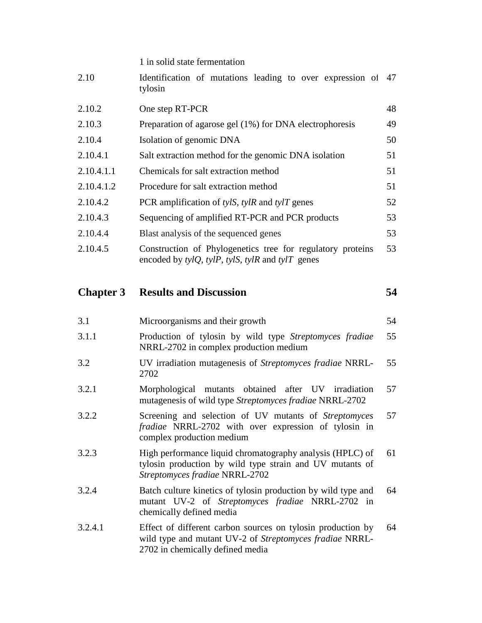|            | 1 in solid state fermentation                                                                                               |    |
|------------|-----------------------------------------------------------------------------------------------------------------------------|----|
| 2.10       | Identification of mutations leading to over expression of<br>tylosin                                                        | 47 |
| 2.10.2     | One step RT-PCR                                                                                                             | 48 |
| 2.10.3     | Preparation of agarose gel (1%) for DNA electrophoresis                                                                     | 49 |
| 2.10.4     | Isolation of genomic DNA                                                                                                    | 50 |
| 2.10.4.1   | Salt extraction method for the genomic DNA isolation                                                                        | 51 |
| 2.10.4.1.1 | Chemicals for salt extraction method                                                                                        | 51 |
| 2.10.4.1.2 | Procedure for salt extraction method                                                                                        | 51 |
| 2.10.4.2   | PCR amplification of tylS, tylR and tylT genes                                                                              | 52 |
| 2.10.4.3   | Sequencing of amplified RT-PCR and PCR products                                                                             | 53 |
| 2.10.4.4   | Blast analysis of the sequenced genes                                                                                       | 53 |
| 2.10.4.5   | Construction of Phylogenetics tree for regulatory proteins<br>encoded by $tylQ$ , $tvlP$ , $tylS$ , $tvlR$ and $tvlT$ genes | 53 |

## **Chapter 3 Results and Discussion 54**

3.1 Microorganisms and their growth 54 3.1.1 Production of tylosin by wild type *Streptomyces fradiae* NRRL-2702 in complex production medium 55 3.2 UV irradiation mutagenesis of *Streptomyces fradiae* NRRL-2702 55 3.2.1 Morphological mutants obtained after UV irradiation mutagenesis of wild type *Streptomyces fradiae* NRRL-2702 57 3.2.2 Screening and selection of UV mutants of *Streptomyces fradiae* NRRL-2702 with over expression of tylosin in complex production medium 57 3.2.3 High performance liquid chromatography analysis (HPLC) of tylosin production by wild type strain and UV mutants of *Streptomyces fradiae* NRRL-2702 61 3.2.4 Batch culture kinetics of tylosin production by wild type and mutant UV-2 of *Streptomyces fradiae* NRRL-2702 in chemically defined media 64 3.2.4.1 Effect of different carbon sources on tylosin production by wild type and mutant UV-2 of *Streptomyces fradiae* NRRL-2702 in chemically defined media 64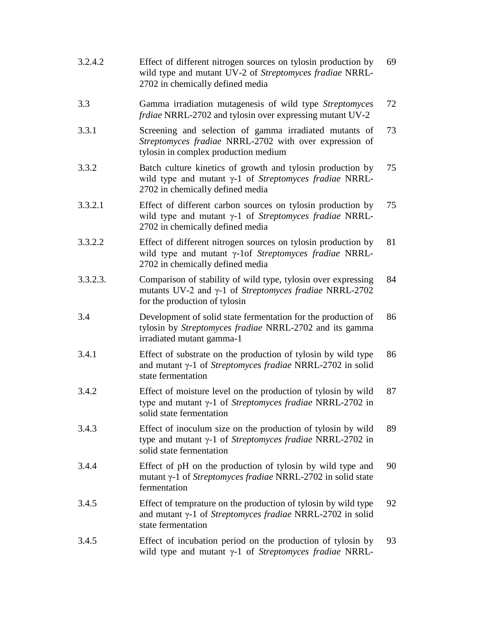| 3.2.4.2  | Effect of different nitrogen sources on tylosin production by<br>69<br>wild type and mutant UV-2 of Streptomyces fradiae NRRL-<br>2702 in chemically defined media   |    |
|----------|----------------------------------------------------------------------------------------------------------------------------------------------------------------------|----|
| 3.3      | Gamma irradiation mutagenesis of wild type Streptomyces<br>frdiae NRRL-2702 and tylosin over expressing mutant UV-2                                                  | 72 |
| 3.3.1    | Screening and selection of gamma irradiated mutants of<br>Streptomyces fradiae NRRL-2702 with over expression of<br>tylosin in complex production medium             | 73 |
| 3.3.2    | Batch culture kinetics of growth and tylosin production by<br>wild type and mutant $\gamma$ -1 of Streptomyces fradiae NRRL-<br>2702 in chemically defined media     | 75 |
| 3.3.2.1  | Effect of different carbon sources on tylosin production by<br>wild type and mutant γ-1 of Streptomyces fradiae NRRL-<br>2702 in chemically defined media            | 75 |
| 3.3.2.2  | Effect of different nitrogen sources on tylosin production by<br>wild type and mutant y-1of Streptomyces fradiae NRRL-<br>2702 in chemically defined media           | 81 |
| 3.3.2.3. | Comparison of stability of wild type, tylosin over expressing<br>mutants UV-2 and γ-1 of Streptomyces fradiae NRRL-2702<br>for the production of tylosin             | 84 |
| 3.4      | Development of solid state fermentation for the production of<br>tylosin by Streptomyces fradiae NRRL-2702 and its gamma<br>irradiated mutant gamma-1                | 86 |
| 3.4.1    | Effect of substrate on the production of tylosin by wild type<br>and mutant $\gamma$ -1 of <i>Streptomyces fradiae</i> NRRL-2702 in solid<br>state fermentation      | 86 |
| 3.4.2    | Effect of moisture level on the production of tylosin by wild<br>type and mutant $\gamma$ -1 of <i>Streptomyces fradiae</i> NRRL-2702 in<br>solid state fermentation | 87 |
| 3.4.3    | Effect of inoculum size on the production of tylosin by wild<br>type and mutant $\gamma$ -1 of Streptomyces fradiae NRRL-2702 in<br>solid state fermentation         | 89 |
| 3.4.4    | Effect of pH on the production of tylosin by wild type and<br>mutant $\gamma$ -1 of <i>Streptomyces fradiae</i> NRRL-2702 in solid state<br>fermentation             | 90 |
| 3.4.5    | Effect of temprature on the production of tylosin by wild type<br>and mutant $\gamma$ -1 of <i>Streptomyces fradiae</i> NRRL-2702 in solid<br>state fermentation     | 92 |
| 3.4.5    | Effect of incubation period on the production of tylosin by<br>wild type and mutant $\gamma$ -1 of Streptomyces fradiae NRRL-                                        | 93 |